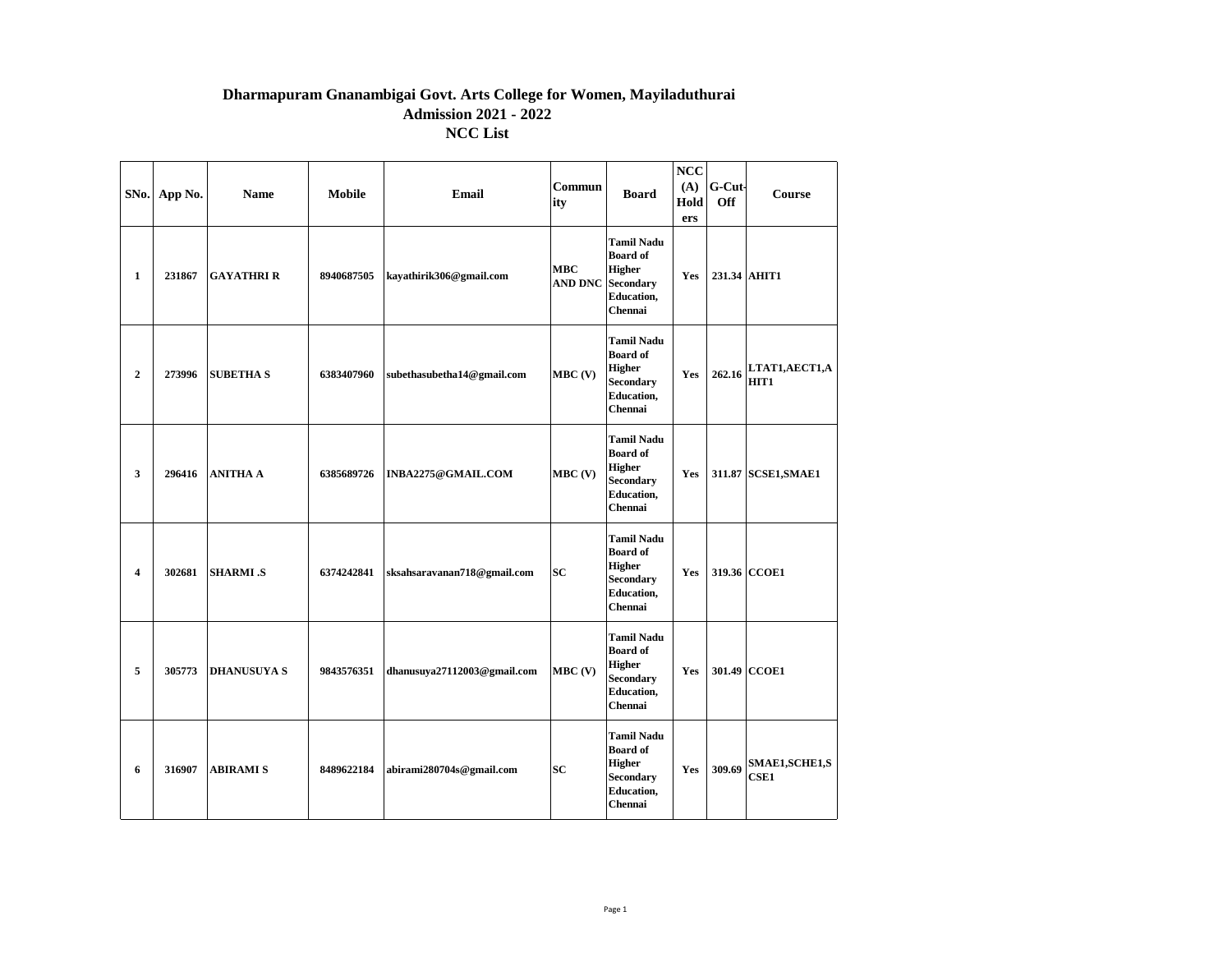## **Dharmapuram Gnanambigai Govt. Arts College for Women, Mayiladuthurai Admission 2021 - 2022 NCC List**

|                         | SNo. App No. | <b>Name</b>        | <b>Mobile</b> | Email                       | Commun<br>ity                | <b>Board</b>                                                                                              | NCC<br>(A)<br>Hold<br>ers | G-Cut-<br><b>Off</b> | <b>Course</b>                       |
|-------------------------|--------------|--------------------|---------------|-----------------------------|------------------------------|-----------------------------------------------------------------------------------------------------------|---------------------------|----------------------|-------------------------------------|
| $\mathbf{1}$            | 231867       | <b>GAYATHRI R</b>  | 8940687505    | kayathirik306@gmail.com     | <b>MBC</b><br><b>AND DNC</b> | <b>Tamil Nadu</b><br><b>Board of</b><br><b>Higher</b><br><b>Secondary</b><br><b>Education,</b><br>Chennai | Yes                       |                      | 231.34 AHIT1                        |
| $\boldsymbol{2}$        | 273996       | <b>SUBETHA S</b>   | 6383407960    | subethasubetha14@gmail.com  | $MBC$ (V)                    | <b>Tamil Nadu</b><br><b>Board of</b><br><b>Higher</b><br><b>Secondary</b><br><b>Education,</b><br>Chennai | Yes                       | 262.16               | LTAT1, AECT1, A<br>HIT <sub>1</sub> |
| 3                       | 296416       | <b>ANITHA A</b>    | 6385689726    | INBA2275@GMAIL.COM          | $MBC$ (V)                    | <b>Tamil Nadu</b><br><b>Board of</b><br><b>Higher</b><br><b>Secondary</b><br><b>Education,</b><br>Chennai | Yes                       |                      | 311.87 SCSE1, SMAE1                 |
| $\overline{\mathbf{4}}$ | 302681       | <b>SHARMI</b> .S   | 6374242841    | sksahsaravanan718@gmail.com | <b>SC</b>                    | <b>Tamil Nadu</b><br><b>Board of</b><br><b>Higher</b><br><b>Secondary</b><br><b>Education,</b><br>Chennai | Yes                       |                      | 319.36 CCOE1                        |
| 5                       | 305773       | <b>DHANUSUYA S</b> | 9843576351    | dhanusuya27112003@gmail.com | $MBC$ (V)                    | <b>Tamil Nadu</b><br><b>Board of</b><br><b>Higher</b><br><b>Secondary</b><br><b>Education,</b><br>Chennai | Yes                       |                      | 301.49 CCOE1                        |
| 6                       | 316907       | <b>ABIRAMI S</b>   | 8489622184    | abirami280704s@gmail.com    | <b>SC</b>                    | <b>Tamil Nadu</b><br><b>Board of</b><br><b>Higher</b><br><b>Secondary</b><br><b>Education,</b><br>Chennai | Yes                       | 309.69               | SMAE1, SCHE1, S<br><b>CSE1</b>      |